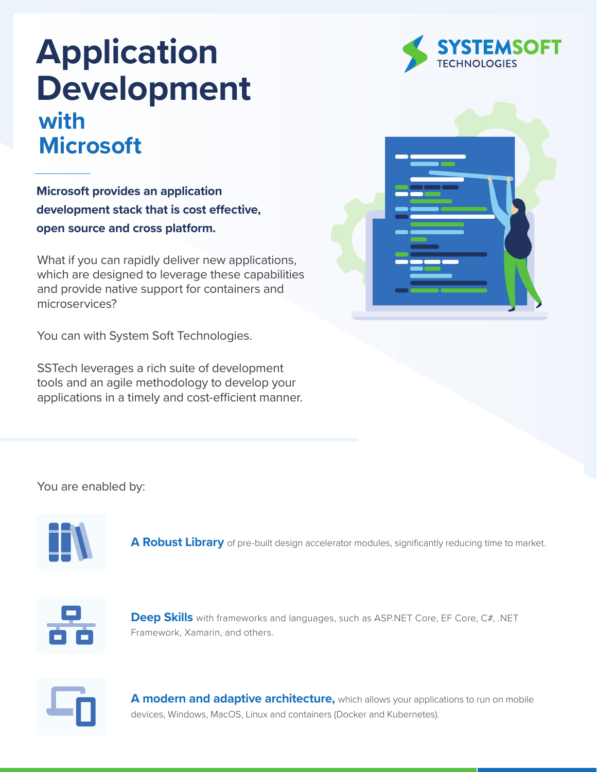## **Application Development with Microsoft**

**Microsoft provides an application development stack that is cost effective, open source and cross platform.**

What if you can rapidly deliver new applications, which are designed to leverage these capabilities and provide native support for containers and microservices?

You can with System Soft Technologies.

SSTech leverages a rich suite of development tools and an agile methodology to develop your applications in a timely and cost-efficient manner.

# **STEMSOFT**<br>HNOLOGIES



You are enabled by:



**A Robust Library** of pre-built design accelerator modules, significantly reducing time to market.



**Deep Skills** with frameworks and languages, such as ASP.NET Core, EF Core, C#, .NET Framework, Xamarin, and others.



**A modern and adaptive architecture,** which allows your applications to run on mobile devices, Windows, MacOS, Linux and containers (Docker and Kubernetes).